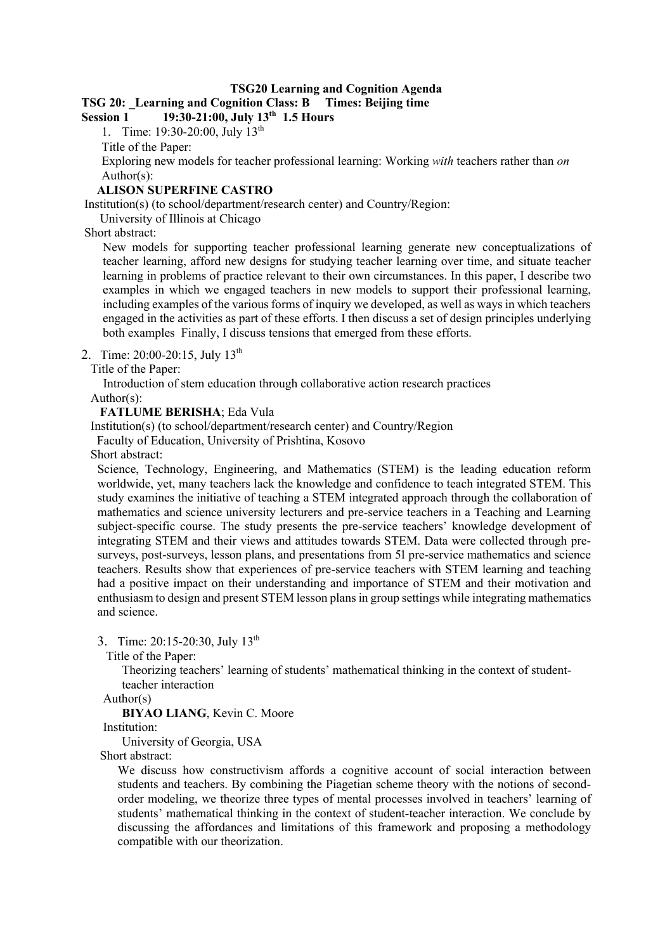### **TSG20 Learning and Cognition Agenda**

# **TSG 20: \_Learning and Cognition Class: B Times: Beijing time**

**Session 1 19:30-21:00, July 13th 1.5 Hours**

1. Time: 19:30-20:00, July 13th

Title of the Paper:

Exploring new models for teacher professional learning: Working *with* teachers rather than *on* Author(s):

#### **ALISON SUPERFINE CASTRO**

Institution(s) (to school/department/research center) and Country/Region:

University of Illinois at Chicago

Short abstract:

New models for supporting teacher professional learning generate new conceptualizations of teacher learning, afford new designs for studying teacher learning over time, and situate teacher learning in problems of practice relevant to their own circumstances. In this paper, I describe two examples in which we engaged teachers in new models to support their professional learning, including examples of the various forms of inquiry we developed, as well as ways in which teachers engaged in the activities as part of these efforts. I then discuss a set of design principles underlying both examples Finally, I discuss tensions that emerged from these efforts.

2. Time: 20:00-20:15, July 13<sup>th</sup>

Title of the Paper:

Introduction of stem education through collaborative action research practices

Author(s):

# **FATLUME BERISHA**; Eda Vula

Institution(s) (to school/department/research center) and Country/Region

Faculty of Education, University of Prishtina, Kosovo

Short abstract:

Science, Technology, Engineering, and Mathematics (STEM) is the leading education reform worldwide, yet, many teachers lack the knowledge and confidence to teach integrated STEM. This study examines the initiative of teaching a STEM integrated approach through the collaboration of mathematics and science university lecturers and pre-service teachers in a Teaching and Learning subject-specific course. The study presents the pre-service teachers' knowledge development of integrating STEM and their views and attitudes towards STEM. Data were collected through presurveys, post-surveys, lesson plans, and presentations from 51 pre-service mathematics and science teachers. Results show that experiences of pre-service teachers with STEM learning and teaching had a positive impact on their understanding and importance of STEM and their motivation and enthusiasm to design and present STEM lesson plans in group settings while integrating mathematics and science.

3. Time: 20:15-20:30, July 13th

Title of the Paper:

Theorizing teachers' learning of students' mathematical thinking in the context of studentteacher interaction

Author(s)

**BIYAO LIANG**, Kevin C. Moore

Institution:

University of Georgia, USA

Short abstract:

We discuss how constructivism affords a cognitive account of social interaction between students and teachers. By combining the Piagetian scheme theory with the notions of secondorder modeling, we theorize three types of mental processes involved in teachers' learning of students' mathematical thinking in the context of student-teacher interaction. We conclude by discussing the affordances and limitations of this framework and proposing a methodology compatible with our theorization.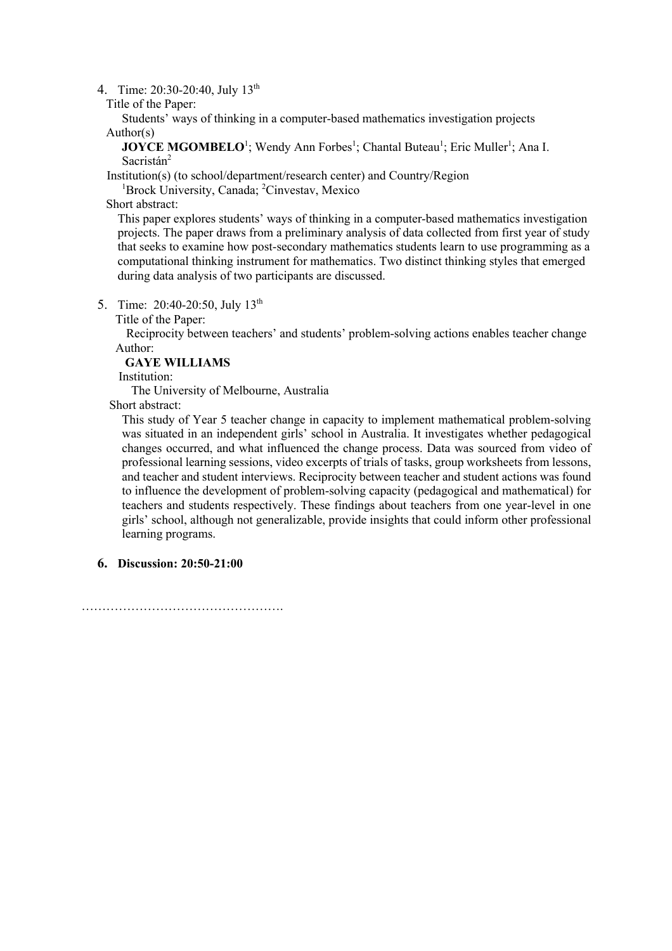4. Time: 20:30-20:40, July 13<sup>th</sup>

Title of the Paper:

 Students' ways of thinking in a computer-based mathematics investigation projects Author(s)

**JOYCE MGOMBELO<sup>1</sup>;** Wendy Ann Forbes<sup>1</sup>; Chantal Buteau<sup>1</sup>; Eric Muller<sup>1</sup>; Ana I. Sacristán<sup>2</sup>

Institution(s) (to school/department/research center) and Country/Region 1

Brock University, Canada; <sup>2</sup>Cinvestav, Mexico

Short abstract:

This paper explores students' ways of thinking in a computer-based mathematics investigation projects. The paper draws from a preliminary analysis of data collected from first year of study that seeks to examine how post-secondary mathematics students learn to use programming as a computational thinking instrument for mathematics. Two distinct thinking styles that emerged during data analysis of two participants are discussed.

5. Time: 20:40-20:50, July 13<sup>th</sup>

Title of the Paper:

Reciprocity between teachers' and students' problem-solving actions enables teacher change Author:

### **GAYE WILLIAMS**

Institution:

The University of Melbourne, Australia

Short abstract:

This study of Year 5 teacher change in capacity to implement mathematical problem-solving was situated in an independent girls' school in Australia. It investigates whether pedagogical changes occurred, and what influenced the change process. Data was sourced from video of professional learning sessions, video excerpts of trials of tasks, group worksheets from lessons, and teacher and student interviews. Reciprocity between teacher and student actions was found to influence the development of problem-solving capacity (pedagogical and mathematical) for teachers and students respectively. These findings about teachers from one year-level in one girls' school, although not generalizable, provide insights that could inform other professional learning programs.

**6. Discussion: 20:50-21:00**

………………………………………………………………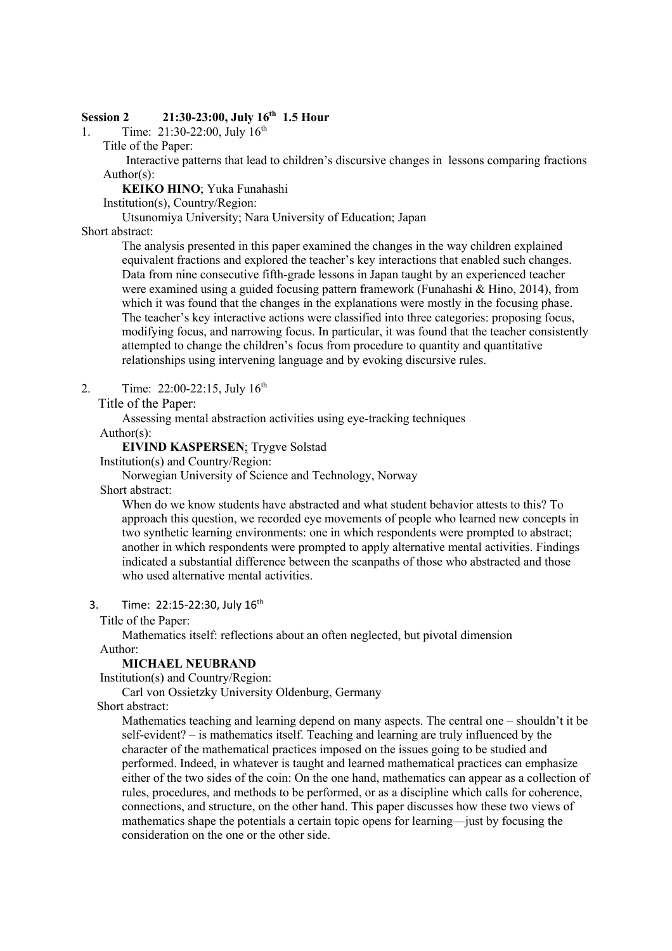# **Session 2 21:30-23:00, July 16th 1.5 Hour**

1. Time:  $21:30-22:00$ , July  $16^{th}$ 

Title of the Paper:

Interactive patterns that lead to children's discursive changes in lessons comparing fractions Author(s):

**KEIKO HINO**; Yuka Funahashi

Institution(s), Country/Region:

Utsunomiya University; Nara University of Education; Japan

# Short abstract:

The analysis presented in this paper examined the changes in the way children explained equivalent fractions and explored the teacher's key interactions that enabled such changes. Data from nine consecutive fifth-grade lessons in Japan taught by an experienced teacher were examined using a guided focusing pattern framework (Funahashi & Hino, 2014), from which it was found that the changes in the explanations were mostly in the focusing phase. The teacher's key interactive actions were classified into three categories: proposing focus, modifying focus, and narrowing focus. In particular, it was found that the teacher consistently attempted to change the children's focus from procedure to quantity and quantitative relationships using intervening language and by evoking discursive rules.

2. Time:  $22:00-22:15$ , July  $16^{th}$ 

Title of the Paper:

Assessing mental abstraction activities using eye-tracking techniques

Author(s):

**EIVIND KASPERSEN**; Trygve Solstad

Institution(s) and Country/Region:

Norwegian University of Science and Technology, Norway

Short abstract:

When do we know students have abstracted and what student behavior attests to this? To approach this question, we recorded eye movements of people who learned new concepts in two synthetic learning environments: one in which respondents were prompted to abstract; another in which respondents were prompted to apply alternative mental activities. Findings indicated a substantial difference between the scanpaths of those who abstracted and those who used alternative mental activities.

3. Time: 22:15-22:30, July 16<sup>th</sup>

Title of the Paper:

Mathematics itself: reflections about an often neglected, but pivotal dimension

## Author:

# **MICHAEL NEUBRAND**

Institution(s) and Country/Region:

Carl von Ossietzky University Oldenburg, Germany

Short abstract:

Mathematics teaching and learning depend on many aspects. The central one – shouldn't it be self-evident? – is mathematics itself. Teaching and learning are truly influenced by the character of the mathematical practices imposed on the issues going to be studied and performed. Indeed, in whatever is taught and learned mathematical practices can emphasize either of the two sides of the coin: On the one hand, mathematics can appear as a collection of rules, procedures, and methods to be performed, or as a discipline which calls for coherence, connections, and structure, on the other hand. This paper discusses how these two views of mathematics shape the potentials a certain topic opens for learning—just by focusing the consideration on the one or the other side.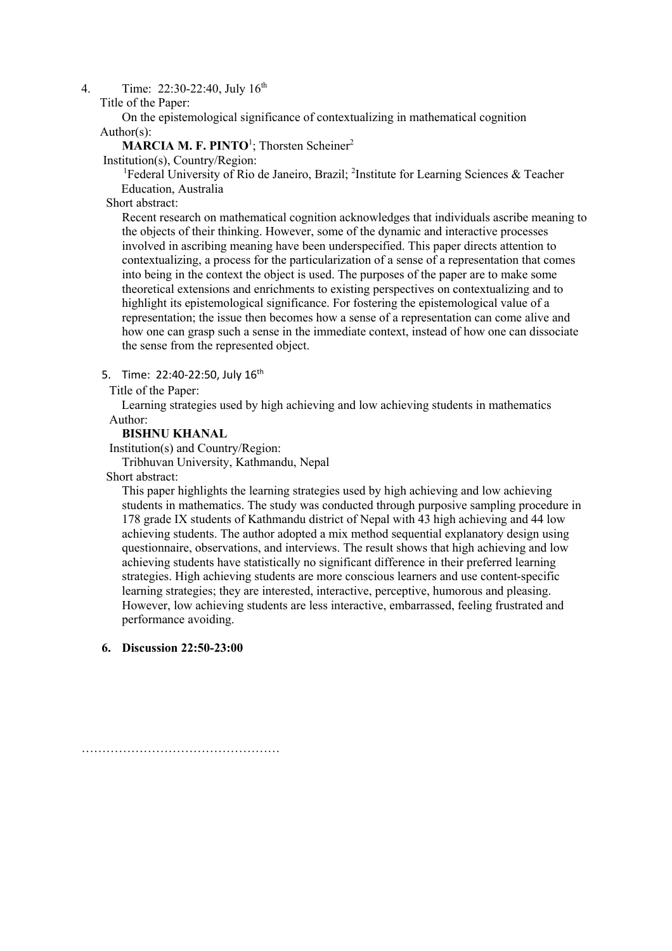4. Time: 22:30-22:40, July 16<sup>th</sup>

Title of the Paper:

On the epistemological significance of contextualizing in mathematical cognition Author(s):

## **MARCIA M. F. PINTO**<sup>1</sup>; Thorsten Scheiner<sup>2</sup>

Institution(s), Country/Region:

<sup>1</sup>Federal University of Rio de Janeiro, Brazil; <sup>2</sup>Institute for Learning Sciences & Teacher Education, Australia

Short abstract:

Recent research on mathematical cognition acknowledges that individuals ascribe meaning to the objects of their thinking. However, some of the dynamic and interactive processes involved in ascribing meaning have been underspecified. This paper directs attention to contextualizing, a process for the particularization of a sense of a representation that comes into being in the context the object is used. The purposes of the paper are to make some theoretical extensions and enrichments to existing perspectives on contextualizing and to highlight its epistemological significance. For fostering the epistemological value of a representation; the issue then becomes how a sense of a representation can come alive and how one can grasp such a sense in the immediate context, instead of how one can dissociate the sense from the represented object.

### 5. Time: 22:40-22:50, July 16<sup>th</sup>

Title of the Paper:

 Learning strategies used by high achieving and low achieving students in mathematics Author:

### **BISHNU KHANAL**

Institution(s) and Country/Region:

Tribhuvan University, Kathmandu, Nepal

Short abstract:

This paper highlights the learning strategies used by high achieving and low achieving students in mathematics. The study was conducted through purposive sampling procedure in 178 grade IX students of Kathmandu district of Nepal with 43 high achieving and 44 low achieving students. The author adopted a mix method sequential explanatory design using questionnaire, observations, and interviews. The result shows that high achieving and low achieving students have statistically no significant difference in their preferred learning strategies. High achieving students are more conscious learners and use content-specific learning strategies; they are interested, interactive, perceptive, humorous and pleasing. However, low achieving students are less interactive, embarrassed, feeling frustrated and performance avoiding.

# **6. Discussion 22:50-23:00**

…………………………………………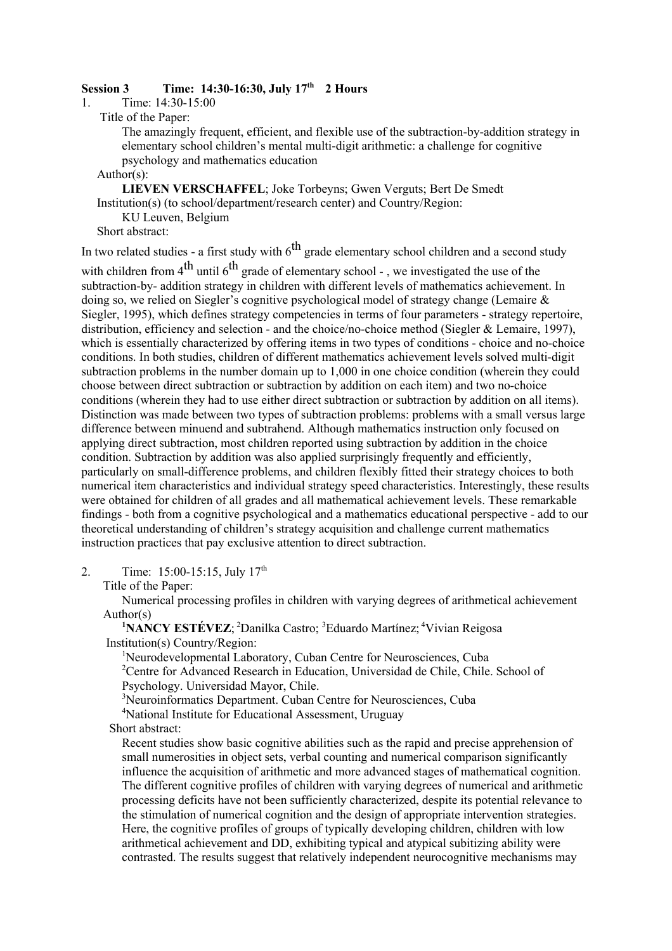# **Session 3 Time: 14:30-16:30, July 17th 2 Hours**

1. Time: 14:30-15:00

Title of the Paper:

The amazingly frequent, efficient, and flexible use of the subtraction-by-addition strategy in elementary school children's mental multi-digit arithmetic: a challenge for cognitive psychology and mathematics education

Author(s):

 **LIEVEN VERSCHAFFEL**; Joke Torbeyns; Gwen Verguts; Bert De Smedt Institution(s) (to school/department/research center) and Country/Region: KU Leuven, Belgium

Short abstract:

In two related studies - a first study with  $6<sup>th</sup>$  grade elementary school children and a second study

with children from  $4^{th}$  until  $6^{th}$  grade of elementary school -, we investigated the use of the subtraction-by- addition strategy in children with different levels of mathematics achievement. In doing so, we relied on Siegler's cognitive psychological model of strategy change (Lemaire & Siegler, 1995), which defines strategy competencies in terms of four parameters - strategy repertoire, distribution, efficiency and selection - and the choice/no-choice method (Siegler & Lemaire, 1997), which is essentially characterized by offering items in two types of conditions - choice and no-choice conditions. In both studies, children of different mathematics achievement levels solved multi-digit subtraction problems in the number domain up to 1,000 in one choice condition (wherein they could choose between direct subtraction or subtraction by addition on each item) and two no-choice conditions (wherein they had to use either direct subtraction or subtraction by addition on all items). Distinction was made between two types of subtraction problems: problems with a small versus large difference between minuend and subtrahend. Although mathematics instruction only focused on applying direct subtraction, most children reported using subtraction by addition in the choice condition. Subtraction by addition was also applied surprisingly frequently and efficiently, particularly on small-difference problems, and children flexibly fitted their strategy choices to both numerical item characteristics and individual strategy speed characteristics. Interestingly, these results were obtained for children of all grades and all mathematical achievement levels. These remarkable findings - both from a cognitive psychological and a mathematics educational perspective - add to our theoretical understanding of children's strategy acquisition and challenge current mathematics instruction practices that pay exclusive attention to direct subtraction.

2. Time:  $15:00-15:15$ , July  $17<sup>th</sup>$ 

Title of the Paper:

Numerical processing profiles in children with varying degrees of arithmetical achievement Author(s)

<sup>1</sup>NANCY ESTÉVEZ;<sup>2</sup>Danilka Castro;<sup>3</sup>Eduardo Martínez;<sup>4</sup>Vivian Reigosa Institution(s) Country/Region:

<sup>1</sup>Neurodevelopmental Laboratory, Cuban Centre for Neurosciences, Cuba

<sup>2</sup>Centre for Advanced Research in Education, Universidad de Chile, Chile. School of Psychology. Universidad Mayor, Chile.

3 Neuroinformatics Department. Cuban Centre for Neurosciences, Cuba

<sup>4</sup>National Institute for Educational Assessment, Uruguay

Short abstract:

Recent studies show basic cognitive abilities such as the rapid and precise apprehension of small numerosities in object sets, verbal counting and numerical comparison significantly influence the acquisition of arithmetic and more advanced stages of mathematical cognition. The different cognitive profiles of children with varying degrees of numerical and arithmetic processing deficits have not been sufficiently characterized, despite its potential relevance to the stimulation of numerical cognition and the design of appropriate intervention strategies. Here, the cognitive profiles of groups of typically developing children, children with low arithmetical achievement and DD, exhibiting typical and atypical subitizing ability were contrasted. The results suggest that relatively independent neurocognitive mechanisms may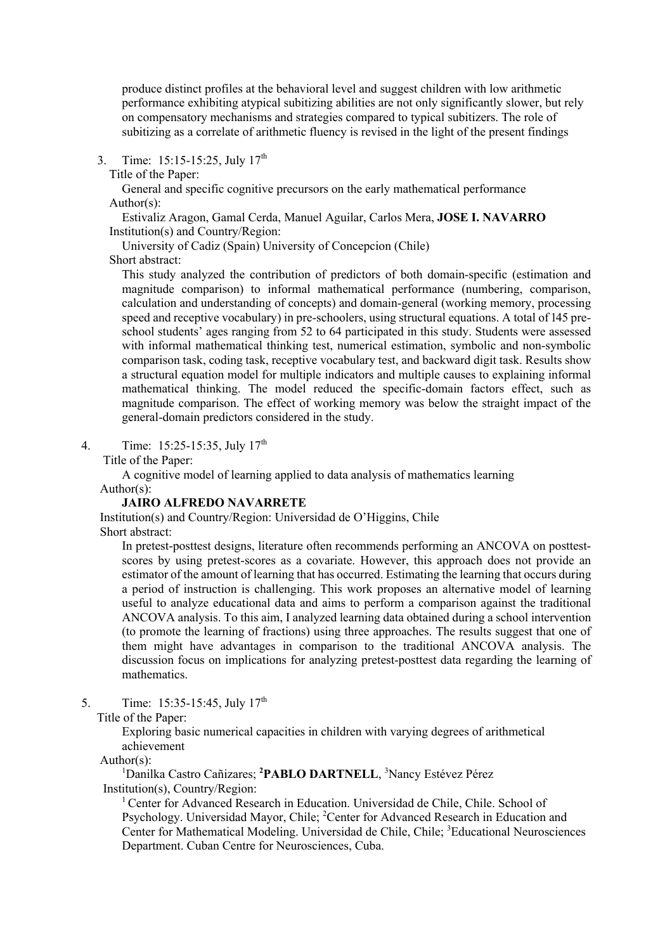produce distinct profiles at the behavioral level and suggest children with low arithmetic performance exhibiting atypical subitizing abilities are not only significantly slower, but rely on compensatory mechanisms and strategies compared to typical subitizers. The role of subitizing as a correlate of arithmetic fluency is revised in the light of the present findings

- 3. Time: 15:15-15:25, July 17<sup>th</sup>
	- Title of the Paper:

General and specific cognitive precursors on the early mathematical performance Author(s):

 Estivaliz Aragon, Gamal Cerda, Manuel Aguilar, Carlos Mera, **JOSE I. NAVARRO** Institution(s) and Country/Region:

University of Cadiz (Spain) University of Concepcion (Chile) Short abstract:

This study analyzed the contribution of predictors of both domain-specific (estimation and magnitude comparison) to informal mathematical performance (numbering, comparison, calculation and understanding of concepts) and domain-general (working memory, processing speed and receptive vocabulary) in pre-schoolers, using structural equations. A total of 145 preschool students' ages ranging from 52 to 64 participated in this study. Students were assessed with informal mathematical thinking test, numerical estimation, symbolic and non-symbolic comparison task, coding task, receptive vocabulary test, and backward digit task. Results show a structural equation model for multiple indicators and multiple causes to explaining informal mathematical thinking. The model reduced the specific-domain factors effect, such as magnitude comparison. The effect of working memory was below the straight impact of the general-domain predictors considered in the study.

4. Time: 15:25-15:35, July 17th

Title of the Paper:

A cognitive model of learning applied to data analysis of mathematics learning Author(s):

# **JAIRO ALFREDO NAVARRETE**

 Institution(s) and Country/Region: Universidad de O'Higgins, Chile Short abstract:

In pretest-posttest designs, literature often recommends performing an ANCOVA on posttestscores by using pretest-scores as a covariate. However, this approach does not provide an estimator of the amount of learning that has occurred. Estimating the learning that occurs during a period of instruction is challenging. This work proposes an alternative model of learning useful to analyze educational data and aims to perform a comparison against the traditional ANCOVA analysis. To this aim, I analyzed learning data obtained during a school intervention (to promote the learning of fractions) using three approaches. The results suggest that one of them might have advantages in comparison to the traditional ANCOVA analysis. The discussion focus on implications for analyzing pretest-posttest data regarding the learning of mathematics.

5. Time: 15:35-15:45, July 17<sup>th</sup>

Title of the Paper:

Exploring basic numerical capacities in children with varying degrees of arithmetical achievement

Author(s):

<sup>1</sup>Danilka Castro Cañizares; <sup>2</sup>PABLO DARTNELL, <sup>3</sup>Nancy Estévez Pérez Institution(s), Country/Region:

<sup>1</sup> Center for Advanced Research in Education. Universidad de Chile, Chile. School of Psychology. Universidad Mayor, Chile; <sup>2</sup>Center for Advanced Research in Education and Center for Mathematical Modeling. Universidad de Chile, Chile; <sup>3</sup>Educational Neurosciences Department. Cuban Centre for Neurosciences, Cuba.